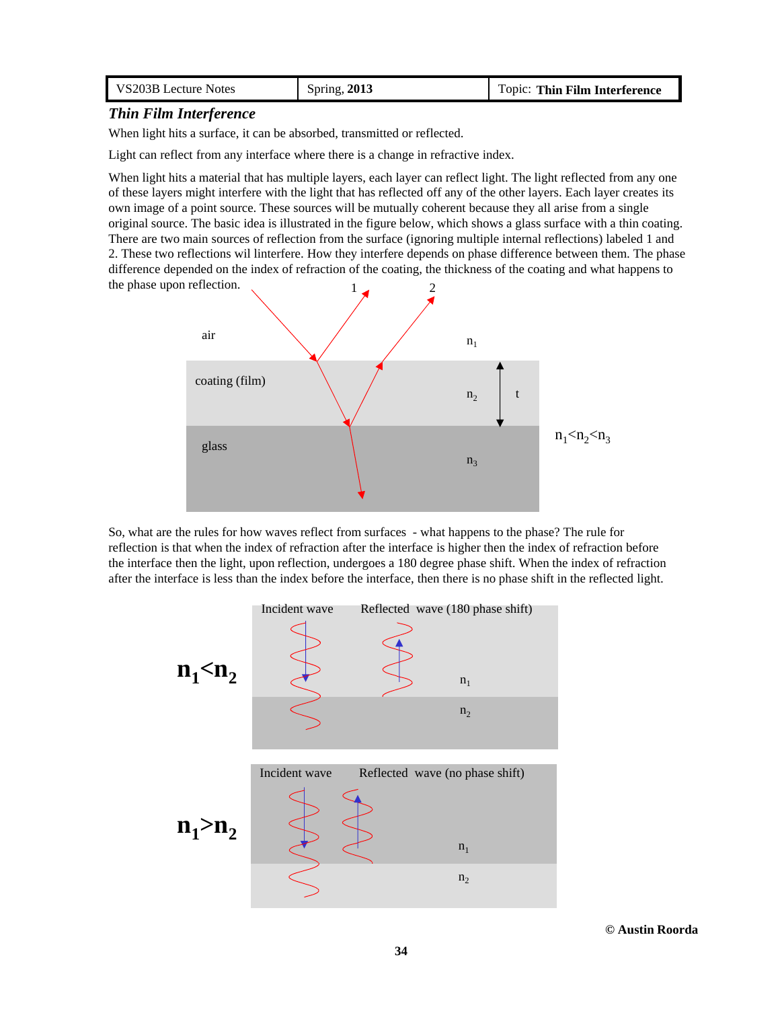| VS203B Lecture Notes | Spring, 2013 | Topic: Thin Film Interference |
|----------------------|--------------|-------------------------------|
|                      |              |                               |

## *Thin Film Interference*

When light hits a surface, it can be absorbed, transmitted or reflected.

Light can reflect from any interface where there is a change in refractive index.

When light hits a material that has multiple layers, each layer can reflect light. The light reflected from any one of these layers might interfere with the light that has reflected off any of the other layers. Each layer creates its own image of a point source. These sources will be mutually coherent because they all arise from a single original source. The basic idea is illustrated in the figure below, which shows a glass surface with a thin coating. There are two main sources of reflection from the surface (ignoring multiple internal reflections) labeled 1 and 2. These two reflections wil linterfere. How they interfere depends on phase difference between them. The phase difference depended on the index of refraction of the coating, the thickness of the coating and what happens to the phase upon reflection.



So, what are the rules for how waves reflect from surfaces - what happens to the phase? The rule for reflection is that when the index of refraction after the interface is higher then the index of refraction before the interface then the light, upon reflection, undergoes a 180 degree phase shift. When the index of refraction after the interface is less than the index before the interface, then there is no phase shift in the reflected light.

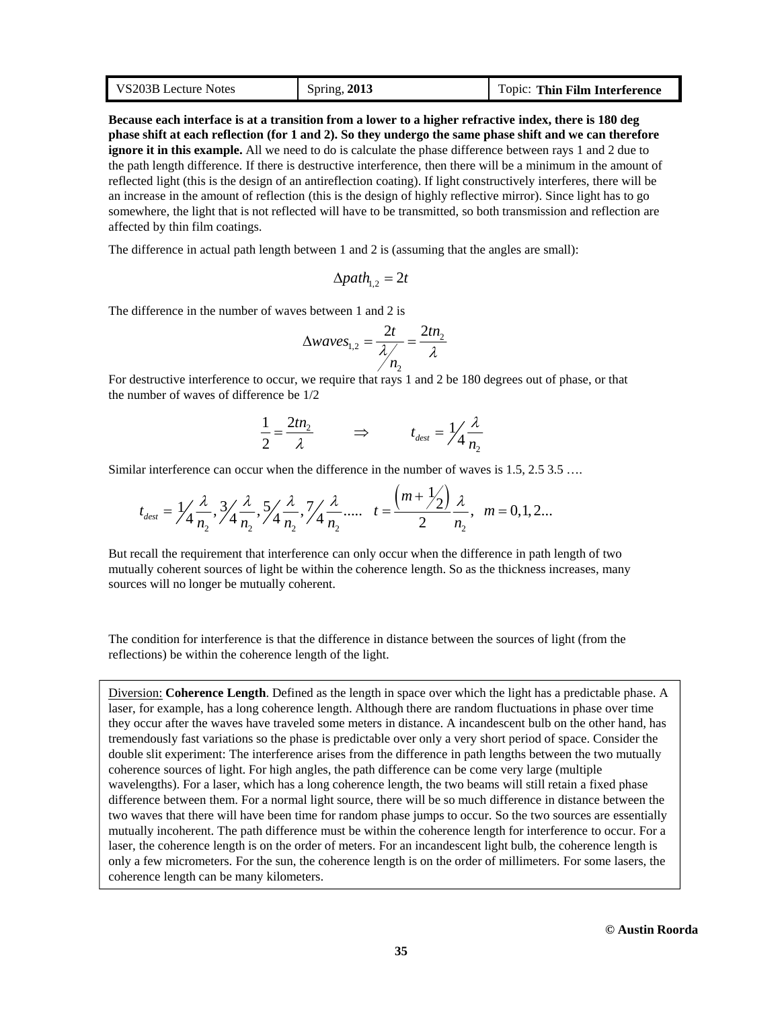| VS203B Lecture Notes | Spring, 2013 | Topic: Thin Film Interference |
|----------------------|--------------|-------------------------------|
|----------------------|--------------|-------------------------------|

**Because each interface is at a transition from a lower to a higher refractive index, there is 180 deg phase shift at each reflection (for 1 and 2). So they undergo the same phase shift and we can therefore ignore it in this example.** All we need to do is calculate the phase difference between rays 1 and 2 due to the path length difference. If there is destructive interference, then there will be a minimum in the amount of reflected light (this is the design of an antireflection coating). If light constructively interferes, there will be an increase in the amount of reflection (this is the design of highly reflective mirror). Since light has to go somewhere, the light that is not reflected will have to be transmitted, so both transmission and reflection are affected by thin film coatings.

The difference in actual path length between 1 and 2 is (assuming that the angles are small):

$$
\Delta path_{1,2}=2t
$$

The difference in the number of waves between 1 and 2 is

$$
\Delta waves_{1,2} = \frac{2t}{\lambda/n_2} = \frac{2tn_2}{\lambda}
$$

For destructive interference to occur, we require that rays 1 and 2 be 180 degrees out of phase, or that the number of waves of difference be 1/2

$$
\frac{1}{2} = \frac{2tn_2}{\lambda} \qquad \Rightarrow \qquad t_{dest} = \frac{1}{\lambda} \frac{\lambda}{n_2}
$$

 $11.74$ 

Similar interference can occur when the difference in the number of waves is 1.5, 2.5 3.5 ….

$$
t_{dest} = \frac{1}{4} \frac{\lambda}{n_2}, \frac{3}{4} \frac{\lambda}{n_2}, \frac{5}{4} \frac{\lambda}{n_2}, \frac{7}{4} \frac{\lambda}{n_2}, \dots, t = \frac{(m + \frac{1}{2})}{2} \frac{\lambda}{n_2}, m = 0, 1, 2...
$$

But recall the requirement that interference can only occur when the difference in path length of two mutually coherent sources of light be within the coherence length. So as the thickness increases, many sources will no longer be mutually coherent.

The condition for interference is that the difference in distance between the sources of light (from the reflections) be within the coherence length of the light.

Diversion: **Coherence Length**. Defined as the length in space over which the light has a predictable phase. A laser, for example, has a long coherence length. Although there are random fluctuations in phase over time they occur after the waves have traveled some meters in distance. A incandescent bulb on the other hand, has tremendously fast variations so the phase is predictable over only a very short period of space. Consider the double slit experiment: The interference arises from the difference in path lengths between the two mutually coherence sources of light. For high angles, the path difference can be come very large (multiple wavelengths). For a laser, which has a long coherence length, the two beams will still retain a fixed phase difference between them. For a normal light source, there will be so much difference in distance between the two waves that there will have been time for random phase jumps to occur. So the two sources are essentially mutually incoherent. The path difference must be within the coherence length for interference to occur. For a laser, the coherence length is on the order of meters. For an incandescent light bulb, the coherence length is only a few micrometers. For the sun, the coherence length is on the order of millimeters. For some lasers, the coherence length can be many kilometers.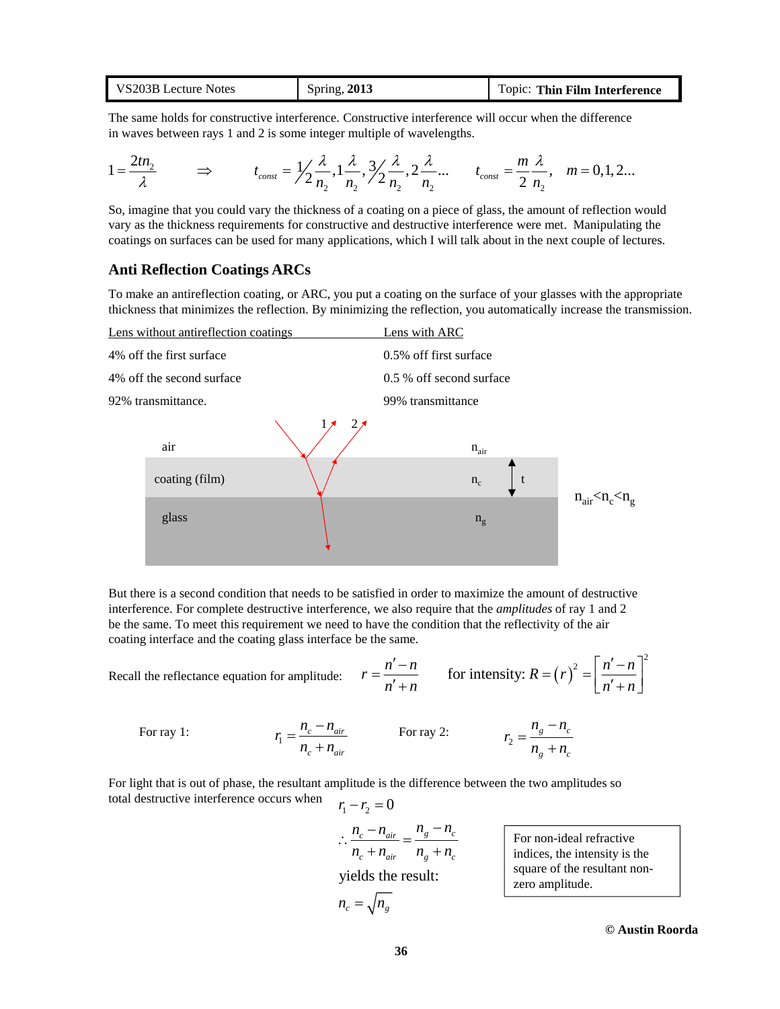| VS203B Lecture Notes | Spring, 2013 | Topic: Thin Film Interference |
|----------------------|--------------|-------------------------------|
|----------------------|--------------|-------------------------------|

The same holds for constructive interference. Constructive interference will occur when the difference in waves between rays 1 and 2 is some integer multiple of wavelengths.

$$
1 = \frac{2tn_2}{\lambda} \qquad \Rightarrow \qquad t_{const} = \frac{1}{2} \frac{\lambda}{n_2}, \frac{1}{n_2}, \frac{1}{2} \frac{\lambda}{n_2}, \frac{1}{2} \frac{\lambda}{n_2} ... \qquad t_{const} = \frac{m}{2} \frac{\lambda}{n_2}, \quad m = 0, 1, 2...
$$

So, imagine that you could vary the thickness of a coating on a piece of glass, the amount of reflection would vary as the thickness requirements for constructive and destructive interference were met. Manipulating the coatings on surfaces can be used for many applications, which I will talk about in the next couple of lectures.

#### **Anti Reflection Coatings ARCs**

To make an antireflection coating, or ARC, you put a coating on the surface of your glasses with the appropriate thickness that minimizes the reflection. By minimizing the reflection, you automatically increase the transmission.



But there is a second condition that needs to be satisfied in order to maximize the amount of destructive interference. For complete destructive interference, we also require that the *amplitudes* of ray 1 and 2 be the same. To meet this requirement we need to have the condition that the reflectivity of the air coating interface and the coating glass interface be the same.

Recall the reflectance equation for amplitude: 
$$
r = \frac{n'-n}{n'+n}
$$
 for intensity:  $R = (r)^2 = \left[\frac{n'-n}{n'+n}\right]^2$ 

For ray 1: 
$$
r_1 = \frac{n_c - n_{air}}{n_c + n_{air}}
$$
 For ray 2: 
$$
r_2 = \frac{n_g - n_c}{n_g + n_c}
$$

 $r_1 - r_2 = 0$ For light that is out of phase, the resultant amplitude is the difference between the two amplitudes so total destructive interference occurs when

$$
\therefore \frac{n_c - n_{air}}{n_c + n_{air}} = \frac{n_g - n_c}{n_g + n_c}
$$
  
yields the result:  

$$
n_c = \sqrt{n_g}
$$

For non-ideal refractive indices, the intensity is the square of the resultant nonzero amplitude.

**© Austin Roorda**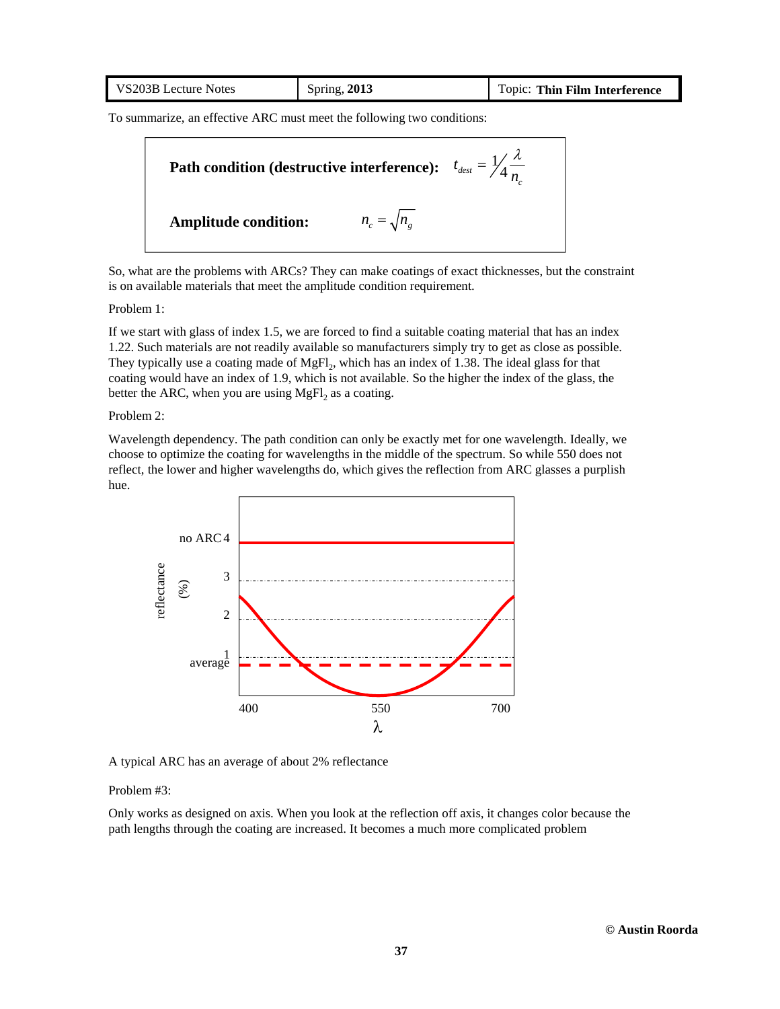| Spring, $2013$<br>VS203B Lecture Notes | Topic: Thin Film Interference |
|----------------------------------------|-------------------------------|
|----------------------------------------|-------------------------------|

To summarize, an effective ARC must meet the following two conditions:



So, what are the problems with ARCs? They can make coatings of exact thicknesses, but the constraint is on available materials that meet the amplitude condition requirement.

Problem 1:

If we start with glass of index 1.5, we are forced to find a suitable coating material that has an index 1.22. Such materials are not readily available so manufacturers simply try to get as close as possible. They typically use a coating made of  $MgFl_2$ , which has an index of 1.38. The ideal glass for that coating would have an index of 1.9, which is not available. So the higher the index of the glass, the better the ARC, when you are using MgFl<sub>2</sub> as a coating.

Problem 2:

Wavelength dependency. The path condition can only be exactly met for one wavelength. Ideally, we choose to optimize the coating for wavelengths in the middle of the spectrum. So while 550 does not reflect, the lower and higher wavelengths do, which gives the reflection from ARC glasses a purplish hue.



A typical ARC has an average of about 2% reflectance

Problem #3:

Only works as designed on axis. When you look at the reflection off axis, it changes color because the path lengths through the coating are increased. It becomes a much more complicated problem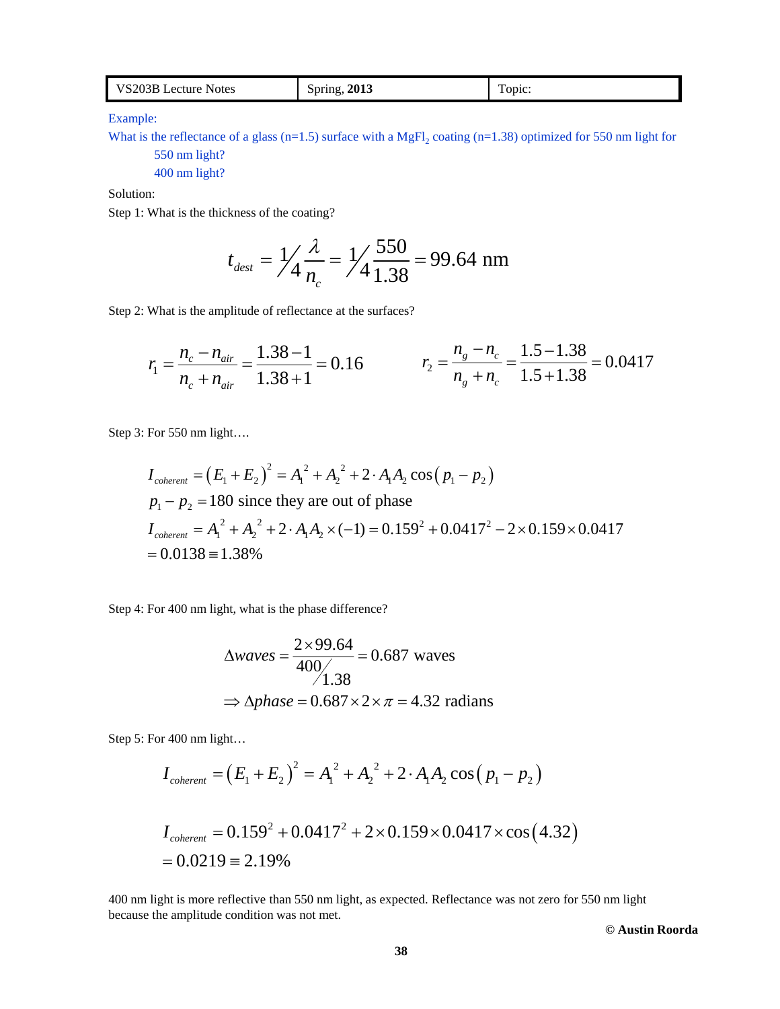| VS203B Lecture Notes | Spring, 2013 | —<br>Topic: |
|----------------------|--------------|-------------|
|----------------------|--------------|-------------|

Example:

What is the reflectance of a glass (n=1.5) surface with a MgFl<sub>2</sub> coating (n=1.38) optimized for 550 nm light for 550 nm light?

400 nm light?

Solution:

Step 1: What is the thickness of the coating?

$$
t_{\text{dest}} = \frac{1}{4} \frac{\lambda}{n_c} = \frac{1}{4} \frac{550}{1.38} = 99.64 \text{ nm}
$$

Step 2: What is the amplitude of reflectance at the surfaces?

$$
r_1 = \frac{n_c - n_{air}}{n_c + n_{air}} = \frac{1.38 - 1}{1.38 + 1} = 0.16
$$
\n
$$
r_2 = \frac{n_g - n_c}{n_g + n_c} = \frac{1.5 - 1.38}{1.5 + 1.38} = 0.0417
$$

Step 3: For 550 nm light….

$$
I_{coherent} = (E_1 + E_2)^2 = A_1^2 + A_2^2 + 2 \cdot A_1 A_2 \cos (p_1 - p_2)
$$
  
\n
$$
p_1 - p_2 = 180 \text{ since they are out of phase}
$$
  
\n
$$
I_{coherent} = A_1^2 + A_2^2 + 2 \cdot A_1 A_2 \times (-1) = 0.159^2 + 0.0417^2 - 2 \times 0.159 \times 0.0417
$$
  
\n= 0.0138 = 1.38%

Step 4: For 400 nm light, what is the phase difference?

$$
\Delta waves = \frac{2 \times 99.64}{400} = 0.687 \text{ waves}
$$

$$
\Rightarrow \Delta phase = 0.687 \times 2 \times \pi = 4.32 \text{ radians}
$$

Step 5: For 400 nm light…

$$
I_{coherent} = (E_1 + E_2)^2 = A_1^2 + A_2^2 + 2 \cdot A_1 A_2 \cos (p_1 - p_2)
$$

$$
I_{coherent} = 0.159^{2} + 0.0417^{2} + 2 \times 0.159 \times 0.0417 \times \cos(4.32)
$$
  
= 0.0219 = 2.19%

400 nm light is more reflective than 550 nm light, as expected. Reflectance was not zero for 550 nm light because the amplitude condition was not met.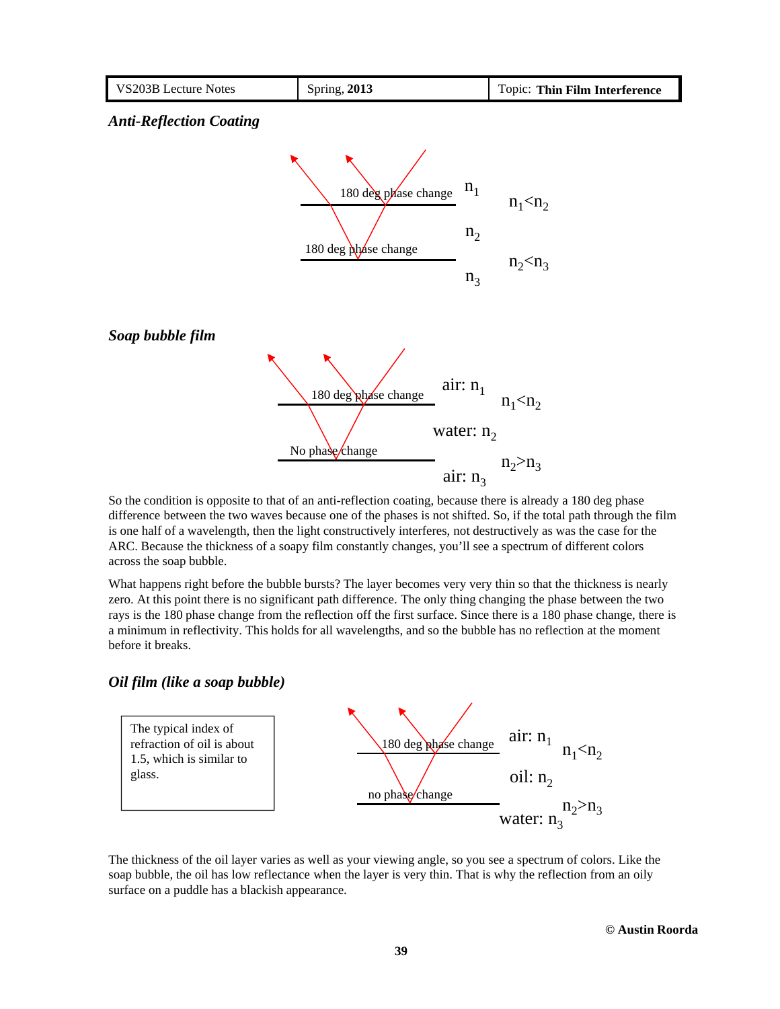

So the condition is opposite to that of an anti-reflection coating, because there is already a 180 deg phase difference between the two waves because one of the phases is not shifted. So, if the total path through the film is one half of a wavelength, then the light constructively interferes, not destructively as was the case for the ARC. Because the thickness of a soapy film constantly changes, you'll see a spectrum of different colors across the soap bubble.

What happens right before the bubble bursts? The layer becomes very very thin so that the thickness is nearly zero. At this point there is no significant path difference. The only thing changing the phase between the two rays is the 180 phase change from the reflection off the first surface. Since there is a 180 phase change, there is a minimum in reflectivity. This holds for all wavelengths, and so the bubble has no reflection at the moment before it breaks.

### *Oil film (like a soap bubble)*



The thickness of the oil layer varies as well as your viewing angle, so you see a spectrum of colors. Like the soap bubble, the oil has low reflectance when the layer is very thin. That is why the reflection from an oily surface on a puddle has a blackish appearance.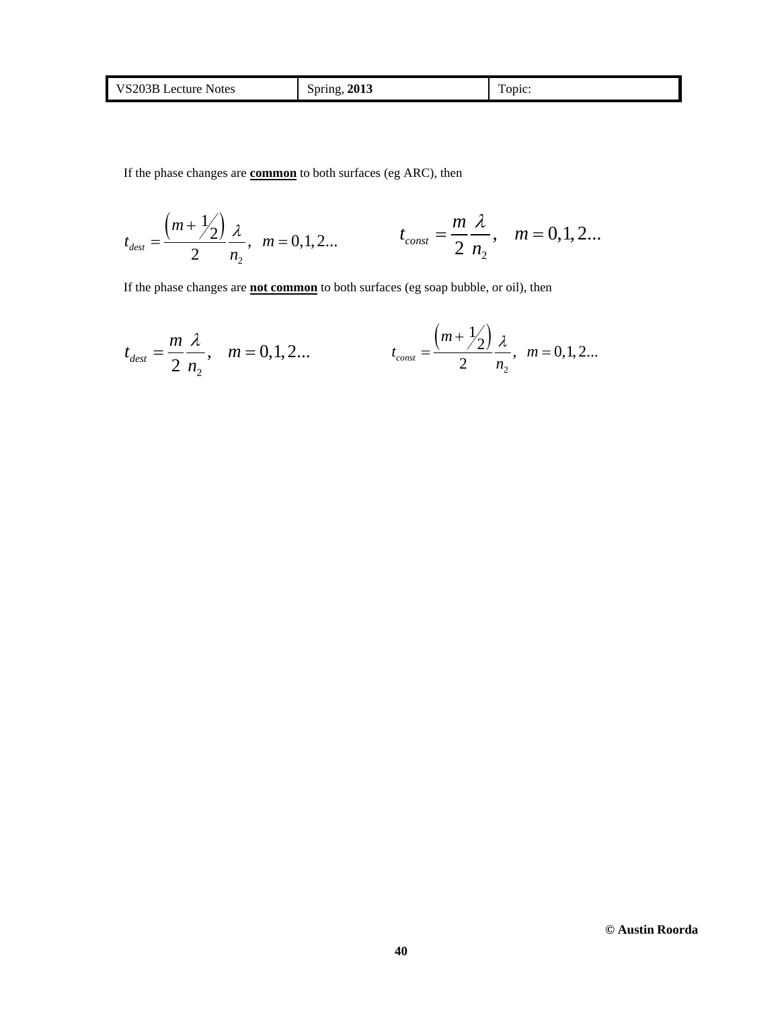| <b>VS203BI</b><br>Lecture Notes | Spring, $2013$ | $\mathbf{r}$<br>opic: |
|---------------------------------|----------------|-----------------------|
|---------------------------------|----------------|-----------------------|

If the phase changes are **common** to both surfaces (eg ARC), then

$$
t_{\text{dest}} = \frac{\left(m + \frac{1}{2}\right)}{2} \frac{\lambda}{n_2}, \quad m = 0, 1, 2... \qquad t_{\text{const}} = \frac{m}{2} \frac{\lambda}{n_2}, \quad m = 0, 1, 2...
$$

If the phase changes are **not common** to both surfaces (eg soap bubble, or oil), then

$$
t_{dest} = \frac{m}{2} \frac{\lambda}{n_2}
$$
,  $m = 0, 1, 2...$   $t_{const} = \frac{\left(m + \frac{1}{2}\right)}{2} \frac{\lambda}{n_2}$ ,  $m = 0, 1, 2...$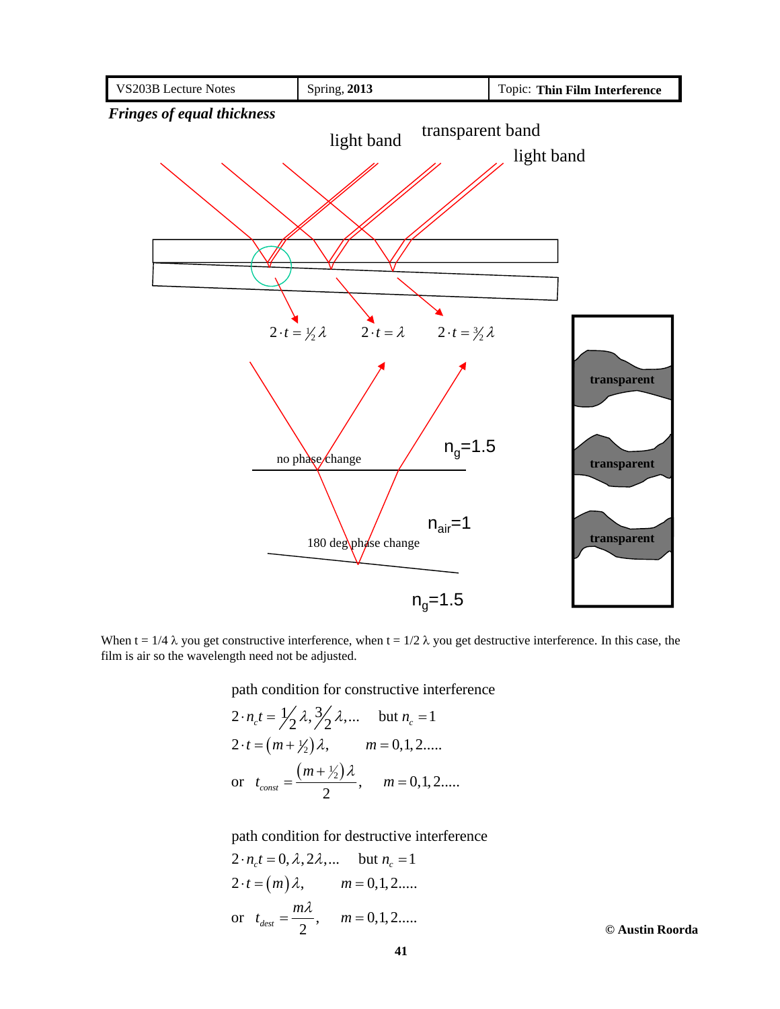

When  $t = 1/4 \lambda$  you get constructive interference, when  $t = 1/2 \lambda$  you get destructive interference. In this case, the film is air so the wavelength need not be adjusted.

path condition for constructive interference

$$
2 \cdot n_c t = \frac{1}{2} \lambda, \frac{3}{2} \lambda, \dots \quad \text{but } n_c = 1
$$
  
2 \cdot t = (m + \frac{1}{2}) \lambda, \qquad m = 0, 1, 2, \dots  
or \t $t_{const} = \frac{(m + \frac{1}{2}) \lambda}{2}, \qquad m = 0, 1, 2, \dots$ 

path condition for destructive interference

$$
2 \cdot n_c t = 0, \lambda, 2\lambda, \dots \quad \text{but } n_c = 1
$$
  
2 \cdot t = (m) \lambda, \qquad m = 0, 1, 2, \dots.  
or  $t_{dest} = \frac{m\lambda}{2}$ , \qquad m = 0, 1, 2, \dots.  
Q Austin Roorda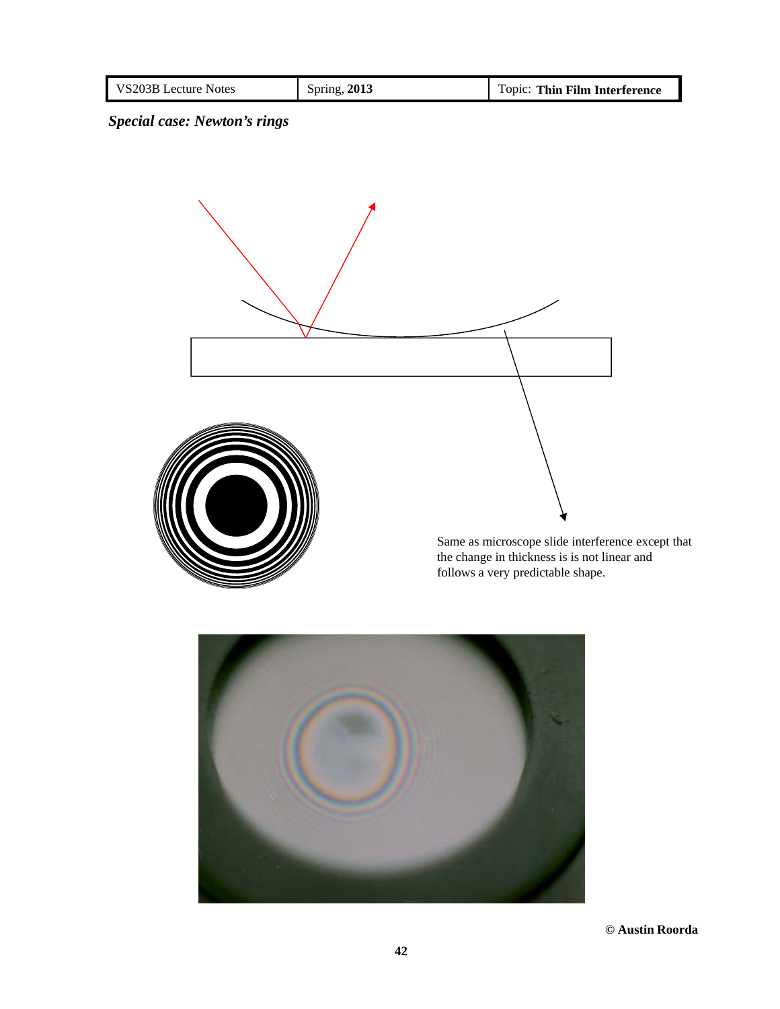| VS203B Lecture Notes | Spring, 2013 | : Thin Film Interference<br>opic: |
|----------------------|--------------|-----------------------------------|

# *Special case: Newton's rings*



Same as microscope slide interference except that the change in thickness is is not linear and follows a very predictable shape.